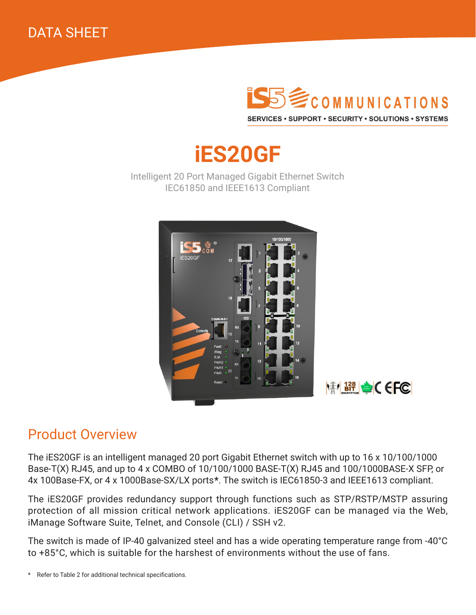



# **iES20GF**

Intelligent 20 Port Managed Gigabit Ethernet Switch IEC61850 and IEEE1613 Compliant





### Product Overview

The iES20GF is an intelligent managed 20 port Gigabit Ethernet switch with up to 16 x 10/100/1000 Base-T(X) RJ45, and up to 4 x COMBO of 10/100/1000 BASE-T(X) RJ45 and 100/1000BASE-X SFP, or 4x 100Base-FX, or 4 x 1000Base-SX/LX ports**\***. The switch is IEC61850-3 and IEEE1613 compliant.

The iES20GF provides redundancy support through functions such as STP/RSTP/MSTP assuring protection of all mission critical network applications. iES20GF can be managed via the Web, iManage Software Suite, Telnet, and Console (CLI) / SSH v2.

The switch is made of IP-40 galvanized steel and has a wide operating temperature range from -40°C to +85°C, which is suitable for the harshest of environments without the use of fans.

<sup>\*</sup> Refer to Table 2 for additional technical specifications.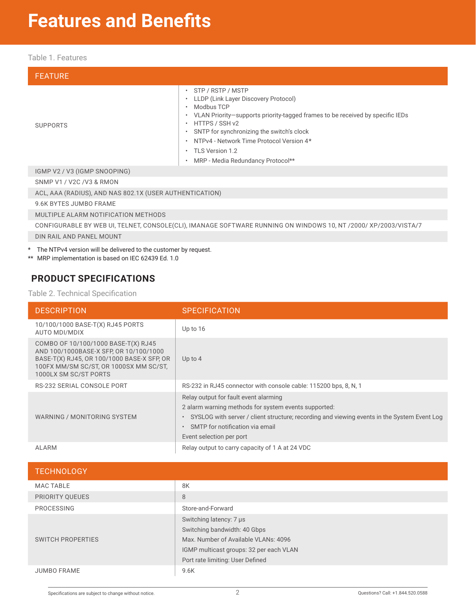### **Features and Benefits**

#### Table 1. Features

| <b>FEATURE</b>                                                                                                  |                                                                                                                                                                                                                                                                                                                                                                                             |  |  |  |  |
|-----------------------------------------------------------------------------------------------------------------|---------------------------------------------------------------------------------------------------------------------------------------------------------------------------------------------------------------------------------------------------------------------------------------------------------------------------------------------------------------------------------------------|--|--|--|--|
| <b>SUPPORTS</b>                                                                                                 | $\cdot$ STP / RSTP / MSTP<br>LLDP (Link Layer Discovery Protocol)<br>$\bullet$<br>Modbus TCP<br>• VLAN Priority-supports priority-tagged frames to be received by specific IEDs<br>HTTPS / SSH v2<br>SNTP for synchronizing the switch's clock<br>$\bullet$<br>NTPv4 - Network Time Protocol Version 4*<br>$\bullet$<br>• TLS Version 1.2<br>MRP - Media Redundancy Protocol**<br>$\bullet$ |  |  |  |  |
| IGMP V2 / V3 (IGMP SNOOPING)                                                                                    |                                                                                                                                                                                                                                                                                                                                                                                             |  |  |  |  |
| SNMP V1 / V2C /V3 & RMON                                                                                        |                                                                                                                                                                                                                                                                                                                                                                                             |  |  |  |  |
| ACL, AAA (RADIUS), AND NAS 802.1X (USER AUTHENTICATION)                                                         |                                                                                                                                                                                                                                                                                                                                                                                             |  |  |  |  |
| 9.6K BYTES JUMBO FRAME                                                                                          |                                                                                                                                                                                                                                                                                                                                                                                             |  |  |  |  |
| MULTIPLE ALARM NOTIFICATION METHODS                                                                             |                                                                                                                                                                                                                                                                                                                                                                                             |  |  |  |  |
| CONFIGURABLE BY WEB UI, TELNET, CONSOLE(CLI), IMANAGE SOFTWARE RUNNING ON WINDOWS 10, NT /2000/ XP/2003/VISTA/7 |                                                                                                                                                                                                                                                                                                                                                                                             |  |  |  |  |
| DIN RAIL AND PANEL MOUNT                                                                                        |                                                                                                                                                                                                                                                                                                                                                                                             |  |  |  |  |
|                                                                                                                 |                                                                                                                                                                                                                                                                                                                                                                                             |  |  |  |  |

\* The NTPv4 version will be delivered to the customer by request.

\*\* MRP implementation is based on IEC 62439 Ed. 1.0

### **PRODUCT SPECIFICATIONS**

Table 2. Technical Specification

| <b>DESCRIPTION</b>                                                                                                                                                                             | <b>SPECIFICATION</b>                                                                                                                                                                                                                                                                  |
|------------------------------------------------------------------------------------------------------------------------------------------------------------------------------------------------|---------------------------------------------------------------------------------------------------------------------------------------------------------------------------------------------------------------------------------------------------------------------------------------|
| 10/100/1000 BASE-T(X) RJ45 PORTS<br>AUTO MDI/MDIX                                                                                                                                              | Up to 16                                                                                                                                                                                                                                                                              |
| COMBO OF 10/100/1000 BASE-T(X) RJ45<br>AND 100/1000BASE-X SFP, OR 10/100/1000<br>BASE-T(X) RJ45, OR 100/1000 BASE-X SFP, OR<br>100FX MM/SM SC/ST, OR 1000SX MM SC/ST,<br>1000LX SM SC/ST PORTS | Up to $4$                                                                                                                                                                                                                                                                             |
| RS-232 SERIAL CONSOLE PORT                                                                                                                                                                     | RS-232 in RJ45 connector with console cable: 115200 bps, 8, N, 1                                                                                                                                                                                                                      |
| WARNING / MONITORING SYSTEM                                                                                                                                                                    | Relay output for fault event alarming<br>2 alarm warning methods for system events supported:<br>SYSLOG with server / client structure; recording and viewing events in the System Event Log<br>$\bullet$<br>SMTP for notification via email<br>$\bullet$<br>Event selection per port |
| <b>ALARM</b>                                                                                                                                                                                   | Relay output to carry capacity of 1 A at 24 VDC                                                                                                                                                                                                                                       |

| <b>TECHNOLOGY</b>        |                                                                                                                                                                                |
|--------------------------|--------------------------------------------------------------------------------------------------------------------------------------------------------------------------------|
| <b>MAC TABLE</b>         | 8K                                                                                                                                                                             |
| PRIORITY QUEUES          | 8                                                                                                                                                                              |
| PROCESSING               | Store-and-Forward                                                                                                                                                              |
| <b>SWITCH PROPERTIES</b> | Switching latency: 7 µs<br>Switching bandwidth: 40 Gbps<br>Max. Number of Available VLANs: 4096<br>IGMP multicast groups: 32 per each VLAN<br>Port rate limiting: User Defined |
| <b>JUMBO FRAME</b>       | 9.6K                                                                                                                                                                           |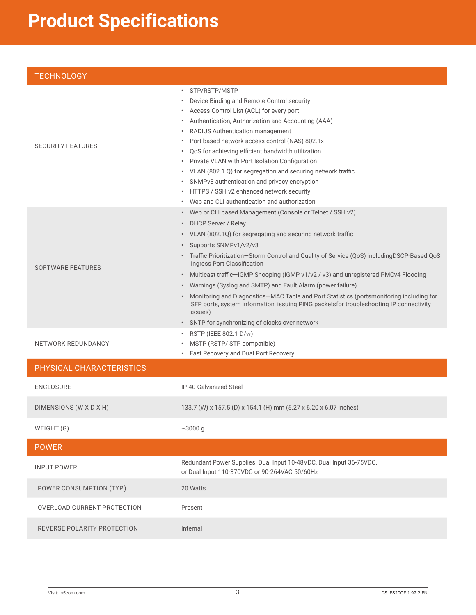# **Product Specifications**

| <b>TECHNOLOGY</b>           |                                                                                                                                                                                                                                                                                                                                                                                                                                                                                                                                                                                                                                                                                                                     |
|-----------------------------|---------------------------------------------------------------------------------------------------------------------------------------------------------------------------------------------------------------------------------------------------------------------------------------------------------------------------------------------------------------------------------------------------------------------------------------------------------------------------------------------------------------------------------------------------------------------------------------------------------------------------------------------------------------------------------------------------------------------|
| <b>SECURITY FEATURES</b>    | STP/RSTP/MSTP<br>Device Binding and Remote Control security<br>Access Control List (ACL) for every port<br>Authentication, Authorization and Accounting (AAA)<br>$\bullet$<br>RADIUS Authentication management<br>$\bullet$<br>Port based network access control (NAS) 802.1x<br>QoS for achieving efficient bandwidth utilization<br>Private VLAN with Port Isolation Configuration<br>VLAN (802.1 Q) for segregation and securing network traffic<br>SNMPv3 authentication and privacy encryption<br>HTTPS / SSH v2 enhanced network security<br>$\bullet$<br>Web and CLI authentication and authorization                                                                                                        |
| <b>SOFTWARE FEATURES</b>    | Web or CLI based Management (Console or Telnet / SSH v2)<br>DHCP Server / Relay<br>VLAN (802.1Q) for segregating and securing network traffic<br>Supports SNMPv1/v2/v3<br>Traffic Prioritization-Storm Control and Quality of Service (QoS) includingDSCP-Based QoS<br>Ingress Port Classification<br>Multicast traffic-IGMP Snooping (IGMP v1/v2 / v3) and unregisteredIPMCv4 Flooding<br>$\bullet$<br>Warnings (Syslog and SMTP) and Fault Alarm (power failure)<br>Monitoring and Diagnostics-MAC Table and Port Statistics (portsmonitoring including for<br>SFP ports, system information, issuing PING packetsfor troubleshooting IP connectivity<br>issues)<br>SNTP for synchronizing of clocks over network |
| NETWORK REDUNDANCY          | RSTP (IEEE 802.1 D/w)<br>MSTP (RSTP/ STP compatible)<br>Fast Recovery and Dual Port Recovery                                                                                                                                                                                                                                                                                                                                                                                                                                                                                                                                                                                                                        |
| PHYSICAL CHARACTERISTICS    |                                                                                                                                                                                                                                                                                                                                                                                                                                                                                                                                                                                                                                                                                                                     |
| <b>ENCLOSURE</b>            | IP-40 Galvanized Steel                                                                                                                                                                                                                                                                                                                                                                                                                                                                                                                                                                                                                                                                                              |
| DIMENSIONS (W X D X H)      | 133.7 (W) x 157.5 (D) x 154.1 (H) mm (5.27 x 6.20 x 6.07 inches)                                                                                                                                                                                                                                                                                                                                                                                                                                                                                                                                                                                                                                                    |
| WEIGHT (G)                  | $~1000 \text{ g}$                                                                                                                                                                                                                                                                                                                                                                                                                                                                                                                                                                                                                                                                                                   |
| <b>POWER</b>                |                                                                                                                                                                                                                                                                                                                                                                                                                                                                                                                                                                                                                                                                                                                     |
| <b>INPUT POWER</b>          | Redundant Power Supplies: Dual Input 10-48VDC, Dual Input 36-75VDC,<br>or Dual Input 110-370VDC or 90-264VAC 50/60Hz                                                                                                                                                                                                                                                                                                                                                                                                                                                                                                                                                                                                |
| POWER CONSUMPTION (TYP.)    | 20 Watts                                                                                                                                                                                                                                                                                                                                                                                                                                                                                                                                                                                                                                                                                                            |
| OVERLOAD CURRENT PROTECTION | Present                                                                                                                                                                                                                                                                                                                                                                                                                                                                                                                                                                                                                                                                                                             |
| REVERSE POLARITY PROTECTION | Internal                                                                                                                                                                                                                                                                                                                                                                                                                                                                                                                                                                                                                                                                                                            |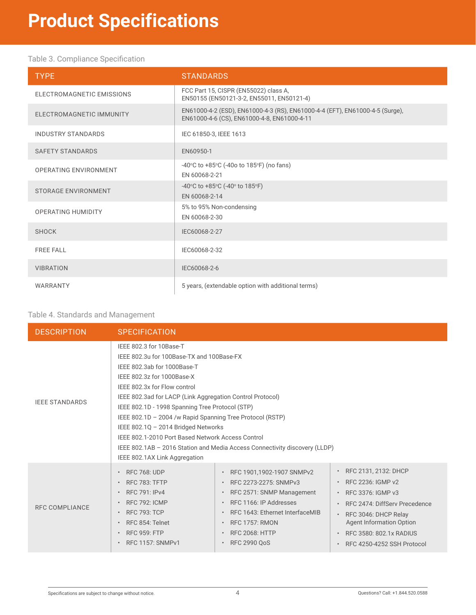### Table 3. Compliance Specification

| <b>TYPE</b>                | <b>STANDARDS</b>                                                                                                            |
|----------------------------|-----------------------------------------------------------------------------------------------------------------------------|
| ELECTROMAGNETIC EMISSIONS  | FCC Part 15, CISPR (EN55022) class A,<br>EN50155 (EN50121-3-2, EN55011, EN50121-4)                                          |
| ELECTROMAGNETIC IMMUNITY   | EN61000-4-2 (ESD), EN61000-4-3 (RS), EN61000-4-4 (EFT), EN61000-4-5 (Surge),<br>EN61000-4-6 (CS), EN61000-4-8, EN61000-4-11 |
| <b>INDUSTRY STANDARDS</b>  | IEC 61850-3, IEEE 1613                                                                                                      |
| <b>SAFETY STANDARDS</b>    | EN60950-1                                                                                                                   |
| OPERATING ENVIRONMENT      | -40 $\degree$ C to +85 $\degree$ C (-40o to 185 $\degree$ F) (no fans)<br>EN 60068-2-21                                     |
| <b>STORAGE ENVIRONMENT</b> | -40 $\circ$ C to +85 $\circ$ C (-40 $\circ$ to 185 $\circ$ F)<br>EN 60068-2-14                                              |
| <b>OPERATING HUMIDITY</b>  | 5% to 95% Non-condensing<br>EN 60068-2-30                                                                                   |
| <b>SHOCK</b>               | IEC60068-2-27                                                                                                               |
| <b>FREE FALL</b>           | IEC60068-2-32                                                                                                               |
| <b>VIBRATION</b>           | IEC60068-2-6                                                                                                                |
| WARRANTY                   | 5 years, (extendable option with additional terms)                                                                          |

#### Table 4. Standards and Management

| <b>DESCRIPTION</b>    | <b>SPECIFICATION</b>                                                                                                                                                                                                                                                                                                                                                                                                                                                                                                                                      |                                                                                                                                                                                                                       |                                                                                                                                                                                                                                                                                                   |  |  |
|-----------------------|-----------------------------------------------------------------------------------------------------------------------------------------------------------------------------------------------------------------------------------------------------------------------------------------------------------------------------------------------------------------------------------------------------------------------------------------------------------------------------------------------------------------------------------------------------------|-----------------------------------------------------------------------------------------------------------------------------------------------------------------------------------------------------------------------|---------------------------------------------------------------------------------------------------------------------------------------------------------------------------------------------------------------------------------------------------------------------------------------------------|--|--|
| <b>IEEE STANDARDS</b> | IEEE 802.3 for 10Base-T<br>IEEE 802.3u for 100Base-TX and 100Base-FX<br>IEEE 802.3ab for 1000Base-T<br>IEEE 802.3z for 1000Base-X<br>IEEE 802.3x for Flow control<br>IEEE 802.3ad for LACP (Link Aggregation Control Protocol)<br>IEEE 802.1D - 1998 Spanning Tree Protocol (STP)<br>IEEE 802.1D - 2004 /w Rapid Spanning Tree Protocol (RSTP)<br>IEEE 802.1Q - 2014 Bridged Networks<br>IEEE 802.1-2010 Port Based Network Access Control<br>IEEE 802.1AB - 2016 Station and Media Access Connectivity discovery (LLDP)<br>IEEE 802.1AX Link Aggregation |                                                                                                                                                                                                                       |                                                                                                                                                                                                                                                                                                   |  |  |
| <b>RFC COMPLIANCE</b> | <b>RFC 768: UDP</b><br><b>RFC 783: TFTP</b><br><b>RFC 791: IPv4</b><br><b>RFC 792: ICMP</b><br><b>RFC 793: TCP</b><br>RFC 854: Telnet<br><b>RFC 959: FTP</b><br><b>RFC 1157: SNMPv1</b>                                                                                                                                                                                                                                                                                                                                                                   | RFC 1901,1902-1907 SNMPv2<br>RFC 2273-2275: SNMPv3<br>RFC 2571: SNMP Management<br>RFC 1166: IP Addresses<br>RFC 1643: Ethernet InterfaceMIB<br><b>RFC 1757: RMON</b><br><b>RFC 2068: HTTP</b><br><b>RFC 2990 QoS</b> | RFC 2131, 2132: DHCP<br>$\bullet$<br>RFC 2236: IGMP v2<br>$\bullet$<br>RFC 3376: IGMP v3<br>$\bullet$<br>RFC 2474: DiffServ Precedence<br>$\bullet$<br>RFC 3046: DHCP Relay<br>$\bullet$<br><b>Agent Information Option</b><br>RFC 3580: 802.1x RADIUS<br>RFC 4250-4252 SSH Protocol<br>$\bullet$ |  |  |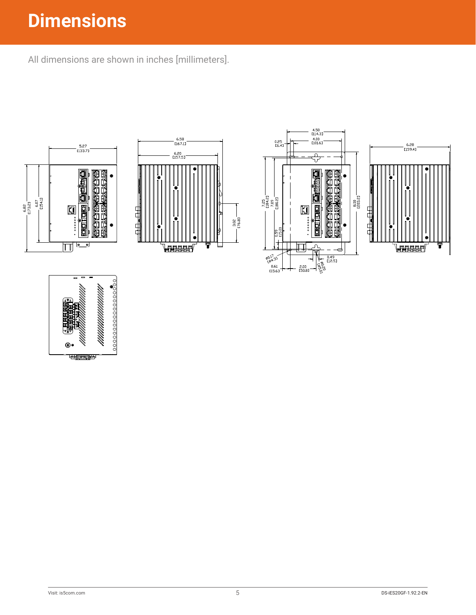## **Dimensions**

All dimensions are shown in inches [millimeters].







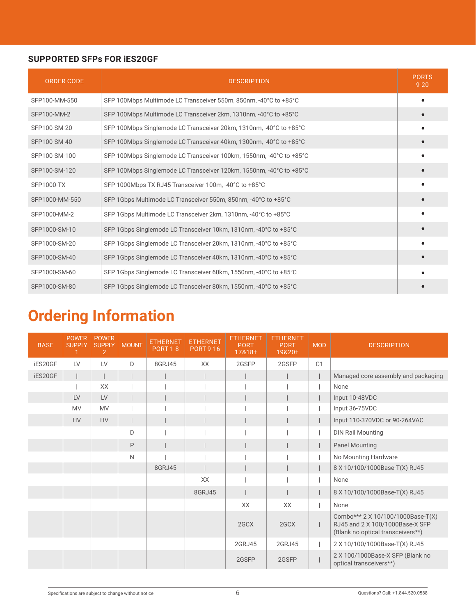#### **SUPPORTED SFPs FOR iES20GF**

| <b>ORDER CODE</b> | <b>DESCRIPTION</b>                                                  | <b>PORTS</b><br>$9 - 20$ |
|-------------------|---------------------------------------------------------------------|--------------------------|
| SFP100-MM-550     | SFP 100Mbps Multimode LC Transceiver 550m, 850nm, -40°C to +85°C    |                          |
| SFP100-MM-2       | SFP 100Mbps Multimode LC Transceiver 2km, 1310nm, -40°C to +85°C    |                          |
| SFP100-SM-20      | SFP 100Mbps Singlemode LC Transceiver 20km, 1310nm, -40°C to +85°C  |                          |
| SFP100-SM-40      | SFP 100Mbps Singlemode LC Transceiver 40km, 1300nm, -40°C to +85°C  |                          |
| SFP100-SM-100     | SFP 100Mbps Singlemode LC Transceiver 100km, 1550nm, -40°C to +85°C |                          |
| SFP100-SM-120     | SFP 100Mbps Singlemode LC Transceiver 120km, 1550nm, -40°C to +85°C |                          |
| <b>SFP1000-TX</b> | SFP 1000Mbps TX RJ45 Transceiver 100m, -40°C to +85°C               |                          |
| SFP1000-MM-550    | SFP 1Gbps Multimode LC Transceiver 550m, 850nm, -40°C to +85°C      |                          |
| SFP1000-MM-2      | SFP 1Gbps Multimode LC Transceiver 2km, 1310nm, -40°C to +85°C      |                          |
| SFP1000-SM-10     | SFP 1Gbps Singlemode LC Transceiver 10km, 1310nm, -40°C to +85°C    |                          |
| SFP1000-SM-20     | SFP 1Gbps Singlemode LC Transceiver 20km, 1310nm, -40°C to +85°C    |                          |
| SFP1000-SM-40     | SFP 1Gbps Singlemode LC Transceiver 40km, 1310nm, -40°C to +85°C    |                          |
| SFP1000-SM-60     | SFP 1Gbps Singlemode LC Transceiver 60km, 1550nm, -40°C to +85°C    |                          |
| SFP1000-SM-80     | SFP 1Gbps Singlemode LC Transceiver 80km, 1550nm, -40°C to +85°C    |                          |

### **Ordering Information**

| <b>BASE</b> | <b>POWER</b><br>SUPPLY | <b>POWER</b><br><b>SUPPLY</b><br>$\overline{2}$ | <b>MOUNT</b> | <b>ETHERNET</b><br><b>PORT 1-8</b> | <b>ETHERNET</b><br><b>PORT 9-16</b> | <b>ETHERNET</b><br><b>PORT</b><br>17&18+ | <b>ETHERNET</b><br><b>PORT</b><br>19&20† | <b>MOD</b> | <b>DESCRIPTION</b>                                                                                        |
|-------------|------------------------|-------------------------------------------------|--------------|------------------------------------|-------------------------------------|------------------------------------------|------------------------------------------|------------|-----------------------------------------------------------------------------------------------------------|
| iES20GF     | LV                     | LV                                              | D            | 8GRJ45                             | XX                                  | 2GSFP                                    | 2GSFP                                    | C1         |                                                                                                           |
| iES20GF     |                        |                                                 |              |                                    |                                     |                                          |                                          |            | Managed core assembly and packaging                                                                       |
|             |                        | XX                                              |              |                                    |                                     |                                          |                                          |            | None                                                                                                      |
|             | LV                     | LV                                              |              |                                    |                                     |                                          |                                          |            | Input 10-48VDC                                                                                            |
|             | <b>MV</b>              | <b>MV</b>                                       |              |                                    |                                     |                                          |                                          |            | Input 36-75VDC                                                                                            |
|             | <b>HV</b>              | <b>HV</b>                                       |              |                                    |                                     |                                          |                                          |            | Input 110-370VDC or 90-264VAC                                                                             |
|             |                        |                                                 | D            |                                    |                                     |                                          |                                          |            | <b>DIN Rail Mounting</b>                                                                                  |
|             |                        |                                                 | $\mathsf{P}$ |                                    |                                     |                                          |                                          |            | <b>Panel Mounting</b>                                                                                     |
|             |                        |                                                 | $\mathsf{N}$ |                                    |                                     |                                          |                                          |            | No Mounting Hardware                                                                                      |
|             |                        |                                                 |              | 8GRJ45                             |                                     |                                          |                                          |            | 8 X 10/100/1000Base-T(X) RJ45                                                                             |
|             |                        |                                                 |              |                                    | XX                                  |                                          |                                          |            | None                                                                                                      |
|             |                        |                                                 |              |                                    | 8GRJ45                              |                                          |                                          |            | 8 X 10/100/1000Base-T(X) RJ45                                                                             |
|             |                        |                                                 |              |                                    |                                     | XX                                       | XX                                       |            | None                                                                                                      |
|             |                        |                                                 |              |                                    |                                     | 2GCX                                     | 2GCX                                     |            | Combo*** 2 X 10/100/1000Base-T(X)<br>RJ45 and 2 X 100/1000Base-X SFP<br>(Blank no optical transceivers**) |
|             |                        |                                                 |              |                                    |                                     | 2GRJ45                                   | 2GRJ45                                   |            | 2 X 10/100/1000Base-T(X) RJ45                                                                             |
|             |                        |                                                 |              |                                    |                                     | 2GSFP                                    | 2GSFP                                    |            | 2 X 100/1000Base-X SFP (Blank no<br>optical transceivers**)                                               |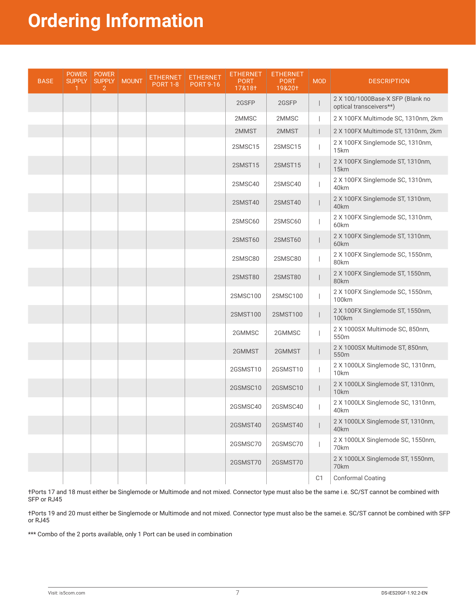### **Ordering Information**

| <b>BASE</b> | <b>POWER</b><br><b>SUPPLY</b> | <b>POWER</b><br><b>SUPPLY</b><br>$\overline{2}$ | <b>MOUNT</b> | ETHERNET<br><b>PORT 1-8</b> | <b>ETHERNET</b><br><b>PORT 9-16</b> | ETHERNET<br><b>PORT</b><br>17&18† | <b>ETHERNET</b><br><b>PORT</b><br>19&20† | <b>MOD</b>     | <b>DESCRIPTION</b>                                          |
|-------------|-------------------------------|-------------------------------------------------|--------------|-----------------------------|-------------------------------------|-----------------------------------|------------------------------------------|----------------|-------------------------------------------------------------|
|             |                               |                                                 |              |                             |                                     | 2GSFP                             | 2GSFP                                    |                | 2 X 100/1000Base-X SFP (Blank no<br>optical transceivers**) |
|             |                               |                                                 |              |                             |                                     | 2MMSC                             | 2MMSC                                    |                | 2 X 100FX Multimode SC, 1310nm, 2km                         |
|             |                               |                                                 |              |                             |                                     | 2MMST                             | 2MMST                                    |                | 2 X 100FX Multimode ST, 1310nm, 2km                         |
|             |                               |                                                 |              |                             |                                     | 2SMSC15                           | 2SMSC15                                  |                | 2 X 100FX Singlemode SC, 1310nm,<br>15km                    |
|             |                               |                                                 |              |                             |                                     | 2SMST15                           | 2SMST15                                  |                | 2 X 100FX Singlemode ST, 1310nm,<br>15km                    |
|             |                               |                                                 |              |                             |                                     | 2SMSC40                           | 2SMSC40                                  |                | 2 X 100FX Singlemode SC, 1310nm,<br>40km                    |
|             |                               |                                                 |              |                             |                                     | 2SMST40                           | 2SMST40                                  |                | 2 X 100FX Singlemode ST, 1310nm,<br>40km                    |
|             |                               |                                                 |              |                             |                                     | 2SMSC60                           | 2SMSC60                                  |                | 2 X 100FX Singlemode SC, 1310nm,<br>60km                    |
|             |                               |                                                 |              |                             |                                     | 2SMST60                           | 2SMST60                                  |                | 2 X 100FX Singlemode ST, 1310nm,<br>60km                    |
|             |                               |                                                 |              |                             |                                     | 2SMSC80                           | 2SMSC80                                  |                | 2 X 100FX Singlemode SC, 1550nm,<br>80km                    |
|             |                               |                                                 |              |                             |                                     | 2SMST80                           | 2SMST80                                  |                | 2 X 100FX Singlemode ST, 1550nm,<br>80km                    |
|             |                               |                                                 |              |                             |                                     | 2SMSC100                          | 2SMSC100                                 |                | 2 X 100FX Singlemode SC, 1550nm,<br>100km                   |
|             |                               |                                                 |              |                             |                                     | 2SMST100                          | 2SMST100                                 |                | 2 X 100FX Singlemode ST, 1550nm,<br>100km                   |
|             |                               |                                                 |              |                             |                                     | 2GMMSC                            | 2GMMSC                                   |                | 2 X 1000SX Multimode SC, 850nm,<br>550m                     |
|             |                               |                                                 |              |                             |                                     | 2GMMST                            | 2GMMST                                   |                | 2 X 1000SX Multimode ST, 850nm,<br>550m                     |
|             |                               |                                                 |              |                             |                                     | 2GSMST10                          | 2GSMST10                                 |                | 2 X 1000LX Singlemode SC, 1310nm,<br>10km                   |
|             |                               |                                                 |              |                             |                                     | 2GSMSC10                          | 2GSMSC10                                 |                | 2 X 1000LX Singlemode ST, 1310nm,<br>10km                   |
|             |                               |                                                 |              |                             |                                     | 2GSMSC40                          | 2GSMSC40                                 |                | 2 X 1000LX Singlemode SC, 1310nm,<br>40km                   |
|             |                               |                                                 |              |                             |                                     | 2GSMST40                          | 2GSMST40                                 |                | 2 X 1000LX Singlemode ST, 1310nm,<br>40km                   |
|             |                               |                                                 |              |                             |                                     | 2GSMSC70                          | 2GSMSC70                                 |                | 2 X 1000LX Singlemode SC, 1550nm,<br>70km                   |
|             |                               |                                                 |              |                             |                                     | 2GSMST70                          | 2GSMST70                                 |                | 2 X 1000LX Singlemode ST, 1550nm,<br>70km                   |
|             |                               |                                                 |              |                             |                                     |                                   |                                          | C <sub>1</sub> | <b>Conformal Coating</b>                                    |

†Ports 17 and 18 must either be Singlemode or Multimode and not mixed. Connector type must also be the same i.e. SC/ST cannot be combined with SFP or RJ45

†Ports 19 and 20 must either be Singlemode or Multimode and not mixed. Connector type must also be the samei.e. SC/ST cannot be combined with SFP or RJ45

\*\*\* Combo of the 2 ports available, only 1 Port can be used in combination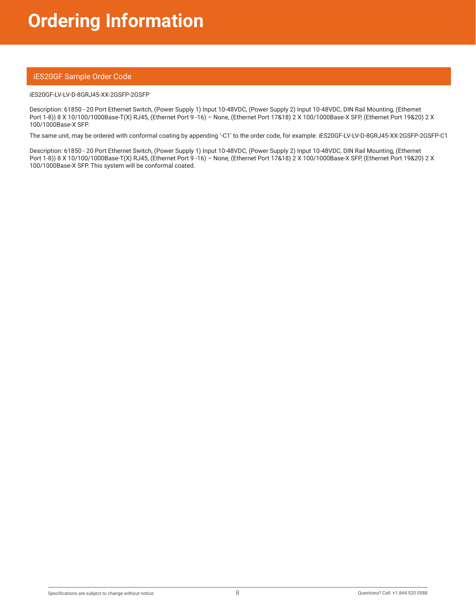#### iES20GF Sample Order Code

#### iES20GF-LV-LV-D-8GRJ45-XX-2GSFP-2GSFP

Description: 61850 - 20 Port Ethernet Switch, (Power Supply 1) Input 10-48VDC, (Power Supply 2) Input 10-48VDC, DIN Rail Mounting, (Ethernet Port 1-8)) 8 X 10/100/1000Base-T(X) RJ45, (Ethernet Port 9 -16) – None, (Ethernet Port 17&18) 2 X 100/1000Base-X SFP, (Ethernet Port 19&20) 2 X 100/1000Base-X SFP.

The same unit, may be ordered with conformal coating by appending '-C1' to the order code, for example: iES20GF-LV-LV-D-8GRJ45-XX-2GSFP-2GSFP-C1

Description: 61850 - 20 Port Ethernet Switch, (Power Supply 1) Input 10-48VDC, (Power Supply 2) Input 10-48VDC, DIN Rail Mounting, (Ethernet Port 1-8)) 8 X 10/100/1000Base-T(X) RJ45, (Ethernet Port 9 -16) – None, (Ethernet Port 17&18) 2 X 100/1000Base-X SFP, (Ethernet Port 19&20) 2 X 100/1000Base-X SFP. This system will be conformal coated.